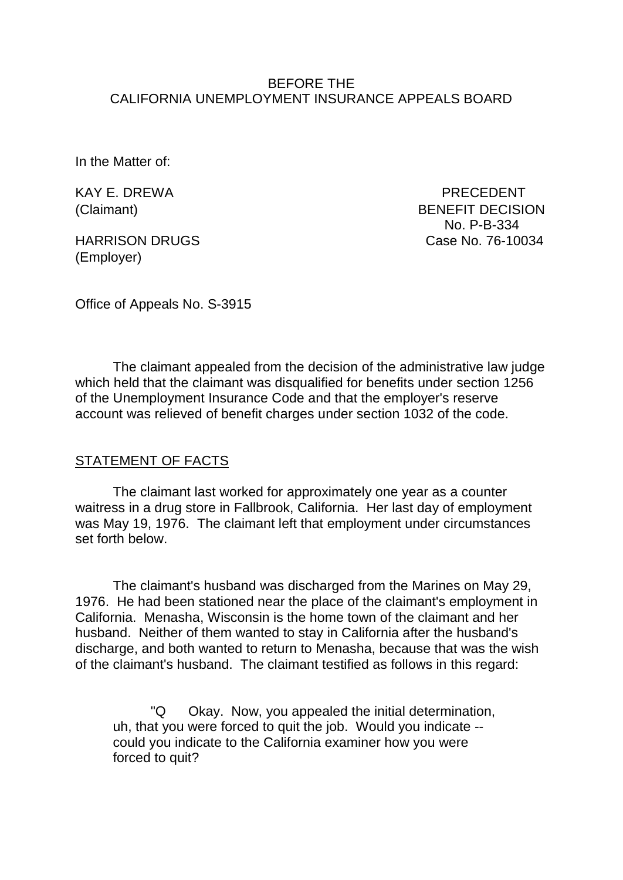### BEFORE THE CALIFORNIA UNEMPLOYMENT INSURANCE APPEALS BOARD

In the Matter of:

KAY E. DREWA PRECEDENT

**HARRISON DRUGS** (Employer)

(Claimant) BENEFIT DECISION No. P-B-334<br>Case No. 76-10034

Office of Appeals No. S-3915

The claimant appealed from the decision of the administrative law judge which held that the claimant was disqualified for benefits under section 1256 of the Unemployment Insurance Code and that the employer's reserve account was relieved of benefit charges under section 1032 of the code.

### STATEMENT OF FACTS

The claimant last worked for approximately one year as a counter waitress in a drug store in Fallbrook, California. Her last day of employment was May 19, 1976. The claimant left that employment under circumstances set forth below.

The claimant's husband was discharged from the Marines on May 29, 1976. He had been stationed near the place of the claimant's employment in California. Menasha, Wisconsin is the home town of the claimant and her husband. Neither of them wanted to stay in California after the husband's discharge, and both wanted to return to Menasha, because that was the wish of the claimant's husband. The claimant testified as follows in this regard:

"Q Okay. Now, you appealed the initial determination, uh, that you were forced to quit the job. Would you indicate - could you indicate to the California examiner how you were forced to quit?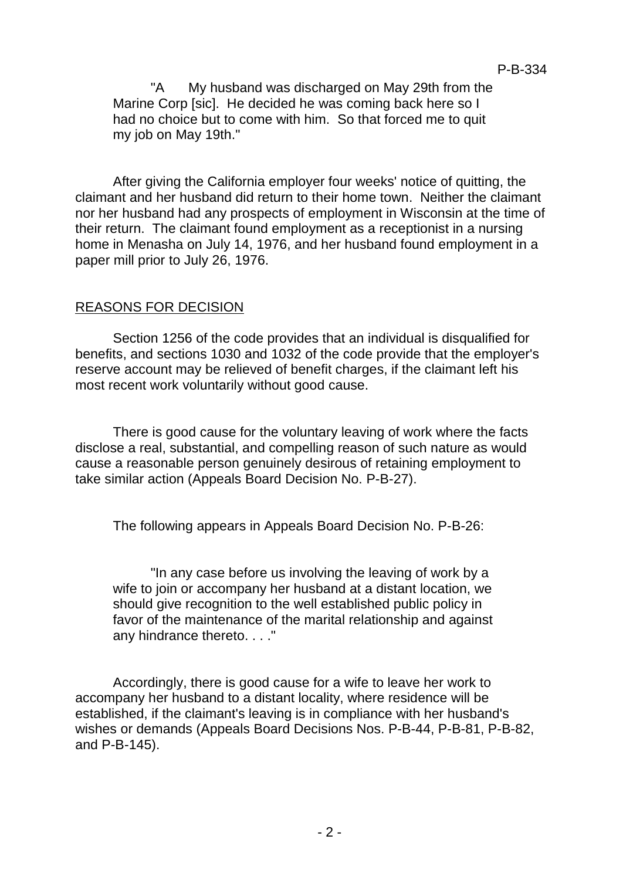"A My husband was discharged on May 29th from the Marine Corp [sic]. He decided he was coming back here so I had no choice but to come with him. So that forced me to quit my job on May 19th."

After giving the California employer four weeks' notice of quitting, the claimant and her husband did return to their home town. Neither the claimant nor her husband had any prospects of employment in Wisconsin at the time of their return. The claimant found employment as a receptionist in a nursing home in Menasha on July 14, 1976, and her husband found employment in a paper mill prior to July 26, 1976.

# REASONS FOR DECISION

Section 1256 of the code provides that an individual is disqualified for benefits, and sections 1030 and 1032 of the code provide that the employer's reserve account may be relieved of benefit charges, if the claimant left his most recent work voluntarily without good cause.

There is good cause for the voluntary leaving of work where the facts disclose a real, substantial, and compelling reason of such nature as would cause a reasonable person genuinely desirous of retaining employment to take similar action (Appeals Board Decision No. P-B-27).

The following appears in Appeals Board Decision No. P-B-26:

"In any case before us involving the leaving of work by a wife to join or accompany her husband at a distant location, we should give recognition to the well established public policy in favor of the maintenance of the marital relationship and against any hindrance thereto. . . ."

Accordingly, there is good cause for a wife to leave her work to accompany her husband to a distant locality, where residence will be established, if the claimant's leaving is in compliance with her husband's wishes or demands (Appeals Board Decisions Nos. P-B-44, P-B-81, P-B-82, and P-B-145).